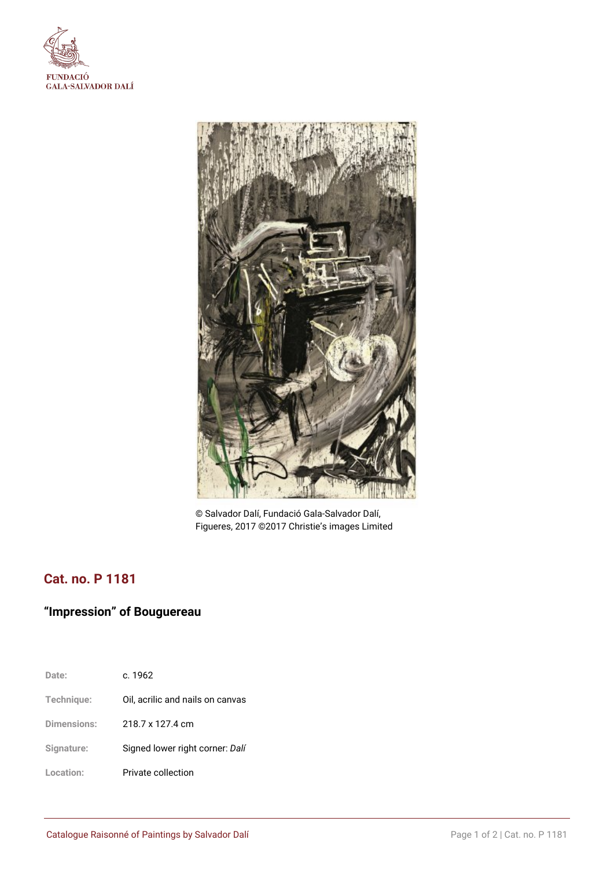



© Salvador Dalí, Fundació Gala-Salvador Dalí, Figueres, 2017 ©2017 Christie's images Limited

## **Cat. no. P 1181**

# **"Impression" of Bouguereau**

| Date:       | c. 1962                          |
|-------------|----------------------------------|
| Technique:  | Oil, acrilic and nails on canvas |
| Dimensions: | 218.7 x 127.4 cm                 |
| Signature:  | Signed lower right corner: Dalí  |
| Location:   | Private collection               |
|             |                                  |